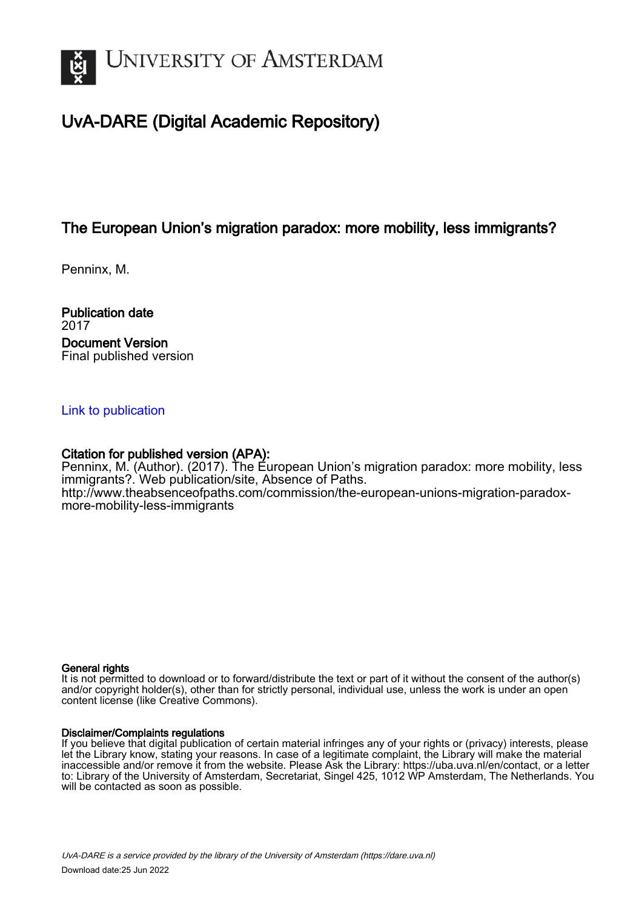

# UvA-DARE (Digital Academic Repository)

## The European Union's migration paradox: more mobility, less immigrants?

Penninx, M.

Publication date 2017 Document Version Final published version

### [Link to publication](https://dare.uva.nl/personal/pure/en/publications/the-european-unions-migration-paradox-more-mobility-less-immigrants(d13af7cd-9c9e-4ed0-ab09-3fa9549ffb31).html)

## Citation for published version (APA):

Penninx, M. (Author). (2017). The European Union's migration paradox: more mobility, less immigrants?. Web publication/site, Absence of Paths. [http://www.theabsenceofpaths.com/commission/the-european-unions-migration-paradox](http://www.theabsenceofpaths.com/commission/the-european-unions-migration-paradox-more-mobility-less-immigrants)[more-mobility-less-immigrants](http://www.theabsenceofpaths.com/commission/the-european-unions-migration-paradox-more-mobility-less-immigrants)

### General rights

It is not permitted to download or to forward/distribute the text or part of it without the consent of the author(s) and/or copyright holder(s), other than for strictly personal, individual use, unless the work is under an open content license (like Creative Commons).

### Disclaimer/Complaints regulations

If you believe that digital publication of certain material infringes any of your rights or (privacy) interests, please let the Library know, stating your reasons. In case of a legitimate complaint, the Library will make the material inaccessible and/or remove it from the website. Please Ask the Library: https://uba.uva.nl/en/contact, or a letter to: Library of the University of Amsterdam, Secretariat, Singel 425, 1012 WP Amsterdam, The Netherlands. You will be contacted as soon as possible.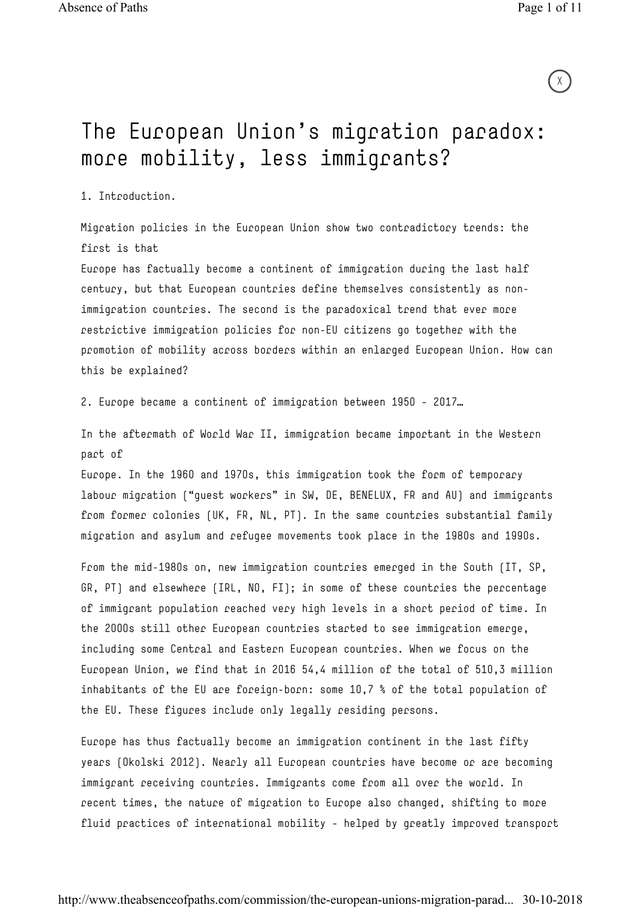$\chi$ 

# The European Union's migration paradox: more mobility, less immigrants?

1. Introduction.

Migration policies in the European Union show two contradictory trends: the first is that

Europe has factually become a continent of immigration during the last half century, but that European countries define themselves consistently as nonimmigration countries. The second is the paradoxical trend that ever more restrictive immigration policies for non-EU citizens go together with the promotion of mobility across borders within an enlarged European Union. How can this be explained?

2. Europe became a continent of immigration between 1950 – 2017…

In the aftermath of World War II, immigration became important in the Western part of

Europe. In the 1960 and 1970s, this immigration took the form of temporary labour migration ("guest workers" in SW, DE, BENELUX, FR and AU) and immigrants from former colonies (UK, FR, NL, PT). In the same countries substantial family migration and asylum and refugee movements took place in the 1980s and 1990s.

From the mid-1980s on, new immigration countries emerged in the South (IT, SP, GR, PT) and elsewhere (IRL, NO, FI); in some of these countries the percentage of immigrant population reached very high levels in a short period of time. In the 2000s still other European countries started to see immigration emerge, including some Central and Eastern European countries. When we focus on the European Union, we find that in 2016 54,4 million of the total of 510,3 million inhabitants of the EU are foreign-born: some 10,7 % of the total population of the EU. These figures include only legally residing persons.

Europe has thus factually become an immigration continent in the last fifty years (Okolski 2012). Nearly all European countries have become or are becoming immigrant receiving countries. Immigrants come from all over the world. In recent times, the nature of migration to Europe also changed, shifting to more fluid practices of international mobility – helped by greatly improved transport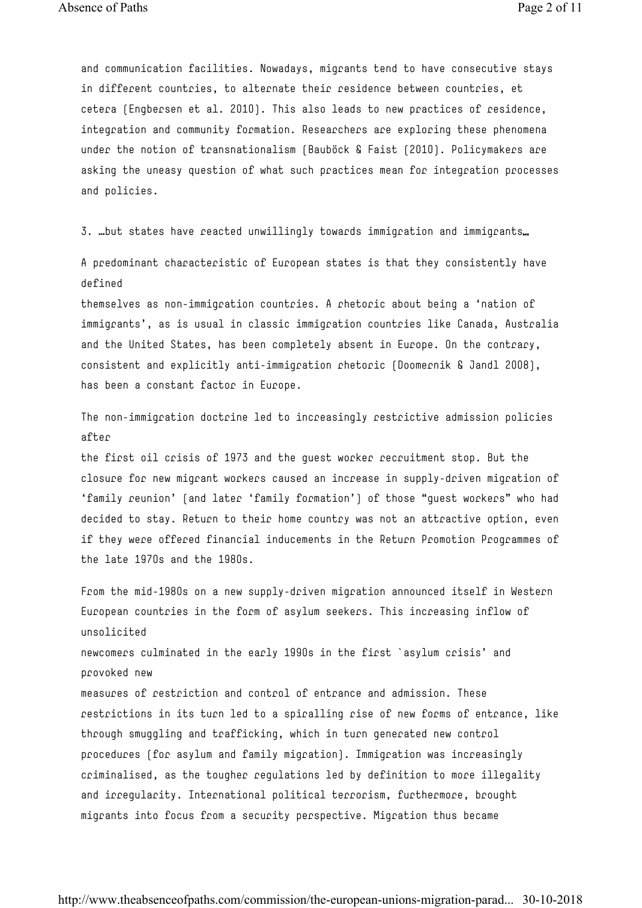and communication facilities. Nowadays, migrants tend to have consecutive stays in different countries, to alternate their residence between countries, et cetera (Engbersen et al. 2010). This also leads to new practices of residence, integration and community formation. Researchers are exploring these phenomena under the notion of transnationalism (Bauböck & Faist (2010). Policymakers are asking the uneasy question of what such practices mean for integration processes and policies.

3. …but states have reacted unwillingly towards immigration and immigrants…

A predominant characteristic of European states is that they consistently have defined

themselves as non-immigration countries. A rhetoric about being a 'nation of immigrants', as is usual in classic immigration countries like Canada, Australia and the United States, has been completely absent in Europe. On the contrary, consistent and explicitly anti-immigration rhetoric (Doomernik & Jandl 2008), has been a constant factor in Europe.

The non-immigration doctrine led to increasingly restrictive admission policies after

the first oil crisis of 1973 and the guest worker recruitment stop. But the closure for new migrant workers caused an increase in supply-driven migration of 'family reunion' (and later 'family formation') of those "guest workers" who had decided to stay. Return to their home country was not an attractive option, even if they were offered financial inducements in the Return Promotion Programmes of the late 1970s and the 1980s.

From the mid-1980s on a new supply-driven migration announced itself in Western European countries in the form of asylum seekers. This increasing inflow of unsolicited newcomers culminated in the early 1990s in the first `asylum crisis' and provoked new measures of restriction and control of entrance and admission. These restrictions in its turn led to a spiralling rise of new forms of entrance, like through smuggling and trafficking, which in turn generated new control procedures (for asylum and family migration). Immigration was increasingly criminalised, as the tougher regulations led by definition to more illegality and irregularity. International political terrorism, furthermore, brought migrants into focus from a security perspective. Migration thus became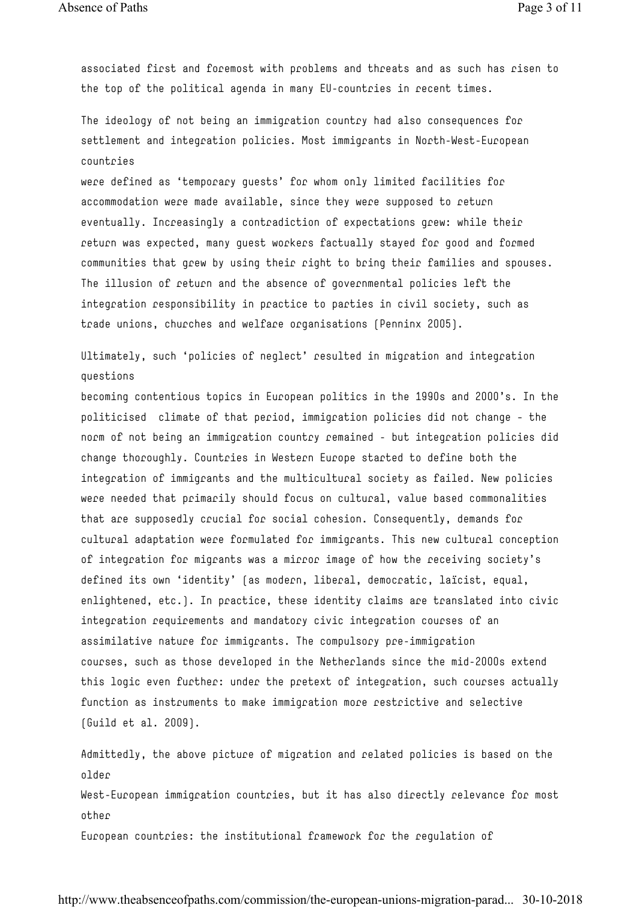associated first and foremost with problems and threats and as such has risen to the top of the political agenda in many EU-countries in recent times.

The ideology of not being an immigration country had also consequences for settlement and integration policies. Most immigrants in North-West-European countries

were defined as 'temporary guests' for whom only limited facilities for accommodation were made available, since they were supposed to return eventually. Increasingly a contradiction of expectations grew: while their return was expected, many guest workers factually stayed for good and formed communities that grew by using their right to bring their families and spouses. The illusion of return and the absence of governmental policies left the integration responsibility in practice to parties in civil society, such as trade unions, churches and welfare organisations (Penninx 2005).

Ultimately, such 'policies of neglect' resulted in migration and integration questions

becoming contentious topics in European politics in the 1990s and 2000's. In the politicised climate of that period, immigration policies did not change – the norm of not being an immigration country remained - but integration policies did change thoroughly. Countries in Western Europe started to define both the integration of immigrants and the multicultural society as failed. New policies were needed that primarily should focus on cultural, value based commonalities that are supposedly crucial for social cohesion. Consequently, demands for cultural adaptation were formulated for immigrants. This new cultural conception of integration for migrants was a mirror image of how the receiving society's defined its own 'identity' (as modern, liberal, democratic, laïcist, equal, enlightened, etc.). In practice, these identity claims are translated into civic integration requirements and mandatory civic integration courses of an assimilative nature for immigrants. The compulsory pre-immigration courses, such as those developed in the Netherlands since the mid-2000s extend this logic even further: under the pretext of integration, such courses actually function as instruments to make immigration more restrictive and selective (Guild et al. 2009).

Admittedly, the above picture of migration and related policies is based on the older West-European immigration countries, but it has also directly relevance for most other European countries: the institutional framework for the regulation of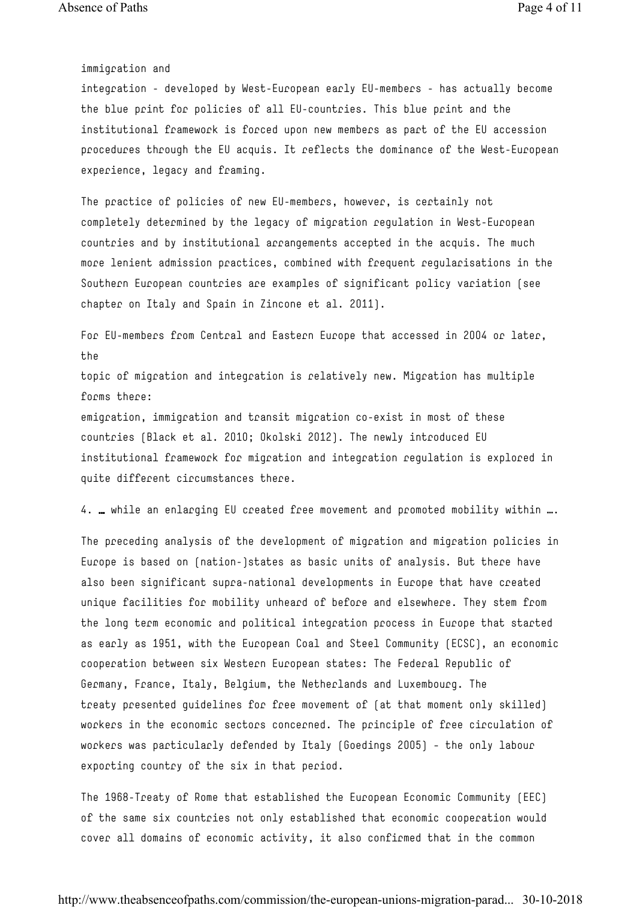immigration and

integration - developed by West-European early EU-members - has actually become the blue print for policies of all EU-countries. This blue print and the institutional framework is forced upon new members as part of the EU accession procedures through the EU acquis. It reflects the dominance of the West-European experience, legacy and framing.

The practice of policies of new EU-members, however, is certainly not completely determined by the legacy of migration regulation in West-European countries and by institutional arrangements accepted in the acquis. The much more lenient admission practices, combined with frequent regularisations in the Southern European countries are examples of significant policy variation (see chapter on Italy and Spain in Zincone et al. 2011).

For EU-members from Central and Eastern Europe that accessed in 2004 or later, the

topic of migration and integration is relatively new. Migration has multiple forms there:

emigration, immigration and transit migration co-exist in most of these countries (Black et al. 2010; Okolski 2012). The newly introduced EU institutional framework for migration and integration regulation is explored in quite different circumstances there.

4. … while an enlarging EU created free movement and promoted mobility within ….

The preceding analysis of the development of migration and migration policies in Europe is based on (nation-)states as basic units of analysis. But there have also been significant supra-national developments in Europe that have created unique facilities for mobility unheard of before and elsewhere. They stem from the long term economic and political integration process in Europe that started as early as 1951, with the European Coal and Steel Community (ECSC), an economic cooperation between six Western European states: The Federal Republic of Germany, France, Italy, Belgium, the Netherlands and Luxembourg. The treaty presented guidelines for free movement of (at that moment only skilled) workers in the economic sectors concerned. The principle of free circulation of workers was particularly defended by Italy (Goedings 2005) – the only labour exporting country of the six in that period.

The 1968-Treaty of Rome that established the European Economic Community (EEC) of the same six countries not only established that economic cooperation would cover all domains of economic activity, it also confirmed that in the common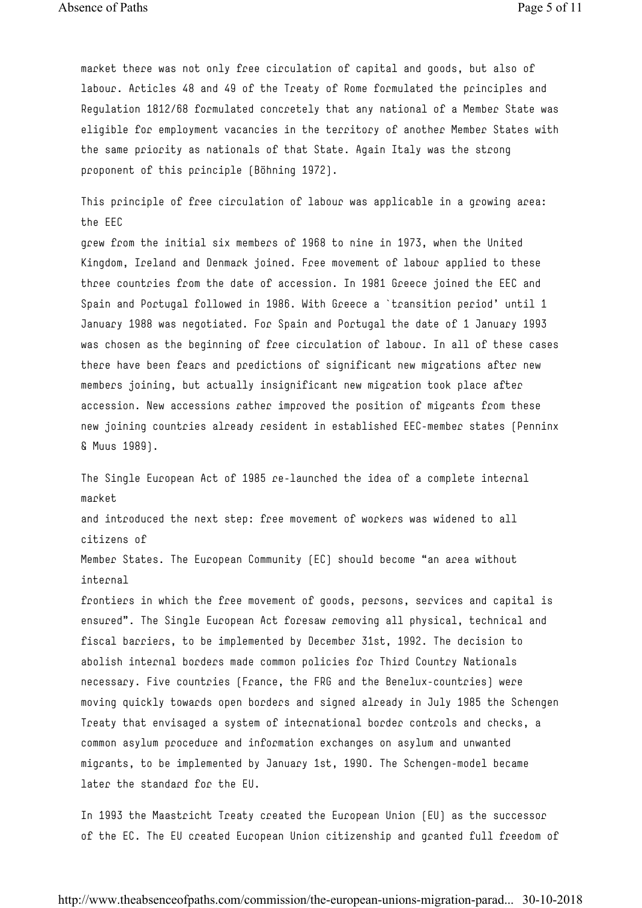Absence of Paths Page 5 of 11

market there was not only free circulation of capital and goods, but also of labour. Articles 48 and 49 of the Treaty of Rome formulated the principles and Regulation 1812/68 formulated concretely that any national of a Member State was eligible for employment vacancies in the territory of another Member States with the same priority as nationals of that State. Again Italy was the strong proponent of this principle (Böhning 1972).

This principle of free circulation of labour was applicable in a growing area: the EEC

grew from the initial six members of 1968 to nine in 1973, when the United Kingdom, Ireland and Denmark joined. Free movement of labour applied to these three countries from the date of accession. In 1981 Greece joined the EEC and Spain and Portugal followed in 1986. With Greece a `transition period' until 1 January 1988 was negotiated. For Spain and Portugal the date of 1 January 1993 was chosen as the beginning of free circulation of labour. In all of these cases there have been fears and predictions of significant new migrations after new members joining, but actually insignificant new migration took place after accession. New accessions rather improved the position of migrants from these new joining countries already resident in established EEC-member states (Penninx & Muus 1989).

The Single European Act of 1985 re-launched the idea of a complete internal market

and introduced the next step: free movement of workers was widened to all citizens of

Member States. The European Community (EC) should become "an area without internal

frontiers in which the free movement of goods, persons, services and capital is ensured". The Single European Act foresaw removing all physical, technical and fiscal barriers, to be implemented by December 31st, 1992. The decision to abolish internal borders made common policies for Third Country Nationals necessary. Five countries (France, the FRG and the Benelux-countries) were moving quickly towards open borders and signed already in July 1985 the Schengen Treaty that envisaged a system of international border controls and checks, a common asylum procedure and information exchanges on asylum and unwanted migrants, to be implemented by January 1st, 1990. The Schengen-model became later the standard for the EU.

In 1993 the Maastricht Treaty created the European Union (EU) as the successor of the EC. The EU created European Union citizenship and granted full freedom of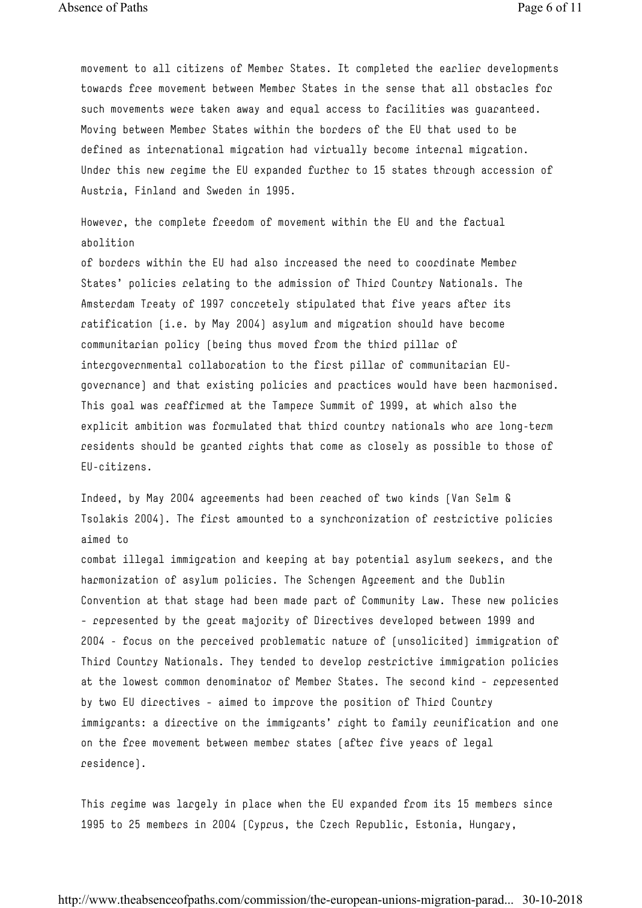Absence of Paths Page 6 of 11

movement to all citizens of Member States. It completed the earlier developments towards free movement between Member States in the sense that all obstacles for such movements were taken away and equal access to facilities was guaranteed. Moving between Member States within the borders of the EU that used to be defined as international migration had virtually become internal migration. Under this new regime the EU expanded further to 15 states through accession of Austria, Finland and Sweden in 1995.

However, the complete freedom of movement within the EU and the factual abolition

of borders within the EU had also increased the need to coordinate Member States' policies relating to the admission of Third Country Nationals. The Amsterdam Treaty of 1997 concretely stipulated that five years after its ratification (i.e. by May 2004) asylum and migration should have become communitarian policy (being thus moved from the third pillar of intergovernmental collaboration to the first pillar of communitarian EUgovernance) and that existing policies and practices would have been harmonised. This goal was reaffirmed at the Tampere Summit of 1999, at which also the explicit ambition was formulated that third country nationals who are long-term residents should be granted rights that come as closely as possible to those of EU-citizens.

Indeed, by May 2004 agreements had been reached of two kinds (Van Selm & Tsolakis 2004). The first amounted to a synchronization of restrictive policies aimed to

combat illegal immigration and keeping at bay potential asylum seekers, and the harmonization of asylum policies. The Schengen Agreement and the Dublin Convention at that stage had been made part of Community Law. These new policies – represented by the great majority of Directives developed between 1999 and 2004 - focus on the perceived problematic nature of (unsolicited) immigration of Third Country Nationals. They tended to develop restrictive immigration policies at the lowest common denominator of Member States. The second kind – represented by two EU directives – aimed to improve the position of Third Country immigrants: a directive on the immigrants' right to family reunification and one on the free movement between member states (after five years of legal residence).

This regime was largely in place when the EU expanded from its 15 members since 1995 to 25 members in 2004 (Cyprus, the Czech Republic, Estonia, Hungary,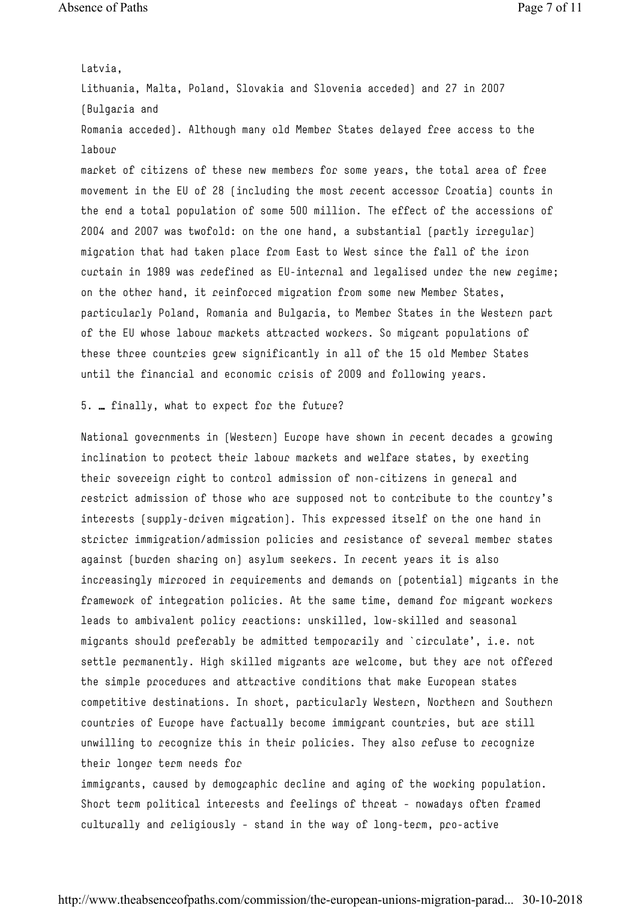Latvia,

Lithuania, Malta, Poland, Slovakia and Slovenia acceded) and 27 in 2007 (Bulgaria and

Romania acceded). Although many old Member States delayed free access to the labour

market of citizens of these new members for some years, the total area of free movement in the EU of 28 (including the most recent accessor Croatia) counts in the end a total population of some 500 million. The effect of the accessions of 2004 and 2007 was twofold: on the one hand, a substantial (partly irregular) migration that had taken place from East to West since the fall of the iron curtain in 1989 was redefined as EU-internal and legalised under the new regime; on the other hand, it reinforced migration from some new Member States, particularly Poland, Romania and Bulgaria, to Member States in the Western part of the EU whose labour markets attracted workers. So migrant populations of these three countries grew significantly in all of the 15 old Member States until the financial and economic crisis of 2009 and following years.

### 5. … finally, what to expect for the future?

National governments in (Western) Europe have shown in recent decades a growing inclination to protect their labour markets and welfare states, by exerting their sovereign right to control admission of non-citizens in general and restrict admission of those who are supposed not to contribute to the country's interests (supply-driven migration). This expressed itself on the one hand in stricter immigration/admission policies and resistance of several member states against (burden sharing on) asylum seekers. In recent years it is also increasingly mirrored in requirements and demands on (potential) migrants in the framework of integration policies. At the same time, demand for migrant workers leads to ambivalent policy reactions: unskilled, low-skilled and seasonal migrants should preferably be admitted temporarily and `circulate', i.e. not settle permanently. High skilled migrants are welcome, but they are not offered the simple procedures and attractive conditions that make European states competitive destinations. In short, particularly Western, Northern and Southern countries of Europe have factually become immigrant countries, but are still unwilling to recognize this in their policies. They also refuse to recognize their longer term needs for immigrants, caused by demographic decline and aging of the working population.

Short term political interests and feelings of threat – nowadays often framed culturally and religiously – stand in the way of long-term, pro-active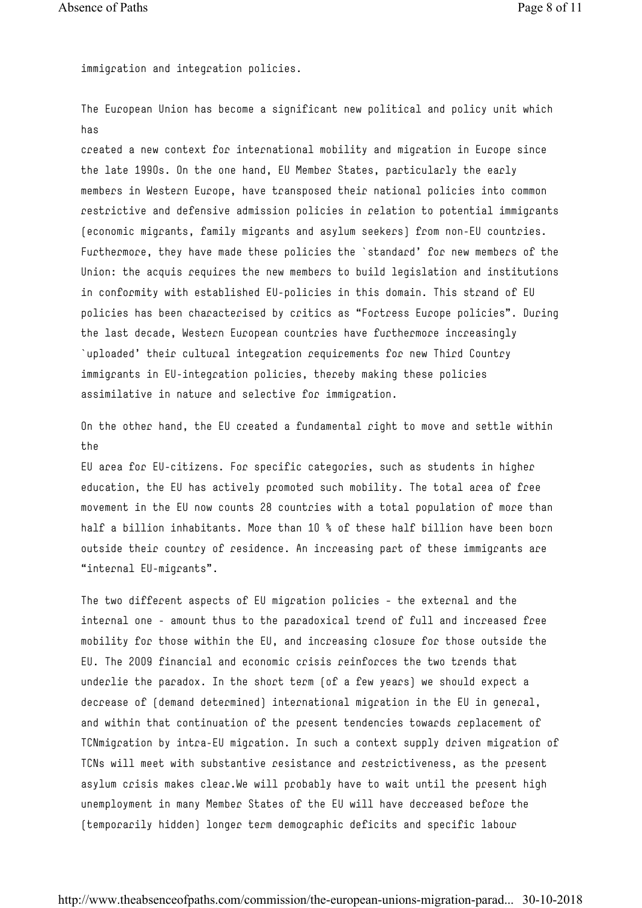immigration and integration policies.

The European Union has become a significant new political and policy unit which has

created a new context for international mobility and migration in Europe since the late 1990s. On the one hand, EU Member States, particularly the early members in Western Europe, have transposed their national policies into common restrictive and defensive admission policies in relation to potential immigrants (economic migrants, family migrants and asylum seekers) from non-EU countries. Furthermore, they have made these policies the `standard' for new members of the Union: the acquis requires the new members to build legislation and institutions in conformity with established EU-policies in this domain. This strand of EU policies has been characterised by critics as "Fortress Europe policies". During the last decade, Western European countries have furthermore increasingly `uploaded' their cultural integration requirements for new Third Country immigrants in EU-integration policies, thereby making these policies assimilative in nature and selective for immigration.

On the other hand, the EU created a fundamental right to move and settle within the

EU area for EU-citizens. For specific categories, such as students in higher education, the EU has actively promoted such mobility. The total area of free movement in the EU now counts 28 countries with a total population of more than half a billion inhabitants. More than 10 % of these half billion have been born outside their country of residence. An increasing part of these immigrants are "internal EU-migrants".

The two different aspects of EU migration policies – the external and the internal one - amount thus to the paradoxical trend of full and increased free mobility for those within the EU, and increasing closure for those outside the EU. The 2009 financial and economic crisis reinforces the two trends that underlie the paradox. In the short term (of a few years) we should expect a decrease of (demand determined) international migration in the EU in general, and within that continuation of the present tendencies towards replacement of TCNmigration by intra-EU migration. In such a context supply driven migration of TCNs will meet with substantive resistance and restrictiveness, as the present asylum crisis makes clear.We will probably have to wait until the present high unemployment in many Member States of the EU will have decreased before the (temporarily hidden) longer term demographic deficits and specific labour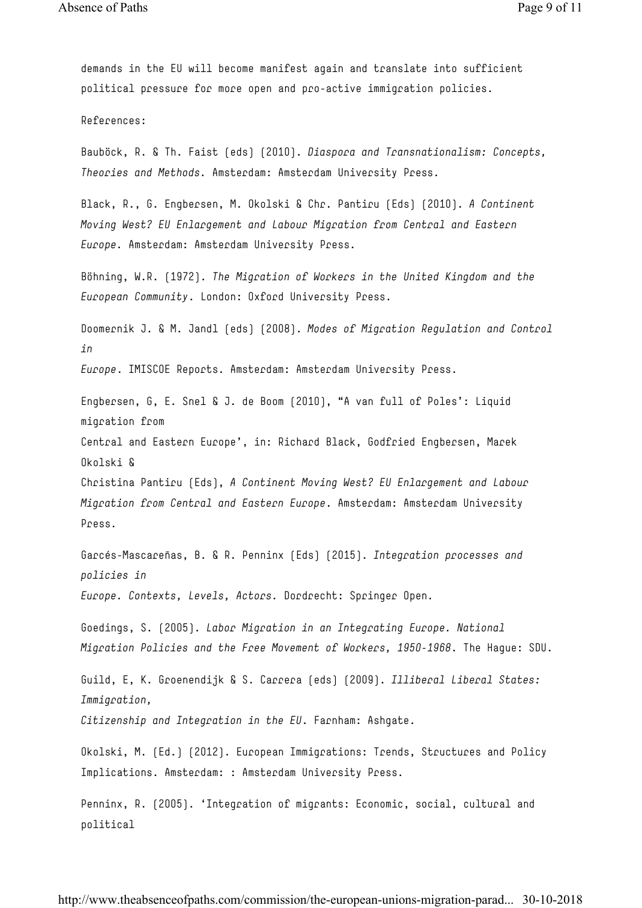demands in the EU will become manifest again and translate into sufficient political pressure for more open and pro-active immigration policies.

References:

Bauböck, R. & Th. Faist (eds) (2010). *Diaspora and Transnationalism: Concepts, Theories and Methods.* Amsterdam: Amsterdam University Press.

Black, R., G. Engbersen, M. Okolski & Chr. Pantiru (Eds) (2010). *A Continent Moving West? EU Enlargement and Labour Migration from Central and Eastern Europe.* Amsterdam: Amsterdam University Press.

Böhning, W.R. (1972). *The Migration of Workers in the United Kingdom and the European Community*. London: Oxford University Press.

Doomernik J. & M. Jandl (eds) (2008). *Modes of Migration Regulation and Control in*

*Europe*. IMISCOE Reports. Amsterdam: Amsterdam University Press.

Engbersen, G, E. Snel & J. de Boom (2010), "A van full of Poles': Liquid migration from

Central and Eastern Europe', in: Richard Black, Godfried Engbersen, Marek Okolski &

Christina Pantiru (Eds), *A Continent Moving West? EU Enlargement and Labour Migration from Central and Eastern Europe*. Amsterdam: Amsterdam University Press.

Garcés-Mascareñas, B. & R. Penninx (Eds) (2015). *Integration processes and policies in*

*Europe. Contexts, Levels, Actors.* Dordrecht: Springer Open.

Goedings, S. (2005). *Labor Migration in an Integrating Europe. National Migration Policies and the Free Movement of Workers, 1950-1968*. The Hague: SDU.

Guild, E, K. Groenendijk & S. Carrera (eds) (2009). *Illiberal Liberal States: Immigration,*

*Citizenship and Integration in the EU*. Farnham: Ashgate.

Okolski, M. (Ed.) (2012). European Immigrations: Trends, Structures and Policy Implications. Amsterdam: : Amsterdam University Press.

Penninx, R. (2005). 'Integration of migrants: Economic, social, cultural and political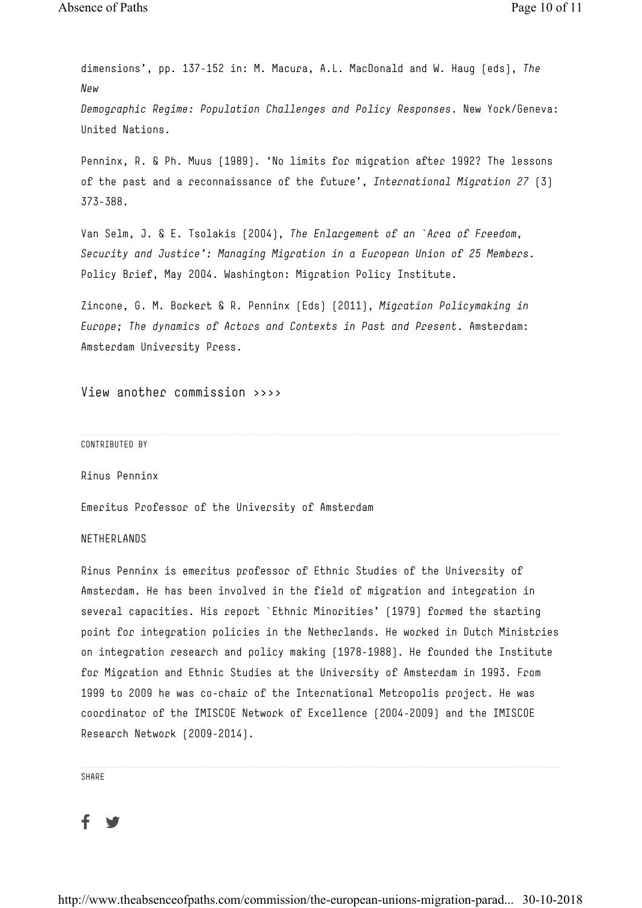dimensions', pp. 137-152 in: M. Macura, A.L. MacDonald and W. Haug (eds), *The New Demographic Regime: Population Challenges and Policy Responses*. New York/Geneva: United Nations.

Penninx, R. & Ph. Muus (1989). 'No limits for migration after 1992? The lessons of the past and a reconnaissance of the future', *International Migration 27* (3) 373-388.

Van Selm, J. & E. Tsolakis (2004), *The Enlargement of an `Area of Freedom, Security and Justice': Managing Migration in a European Union of 25 Members*. Policy Brief, May 2004. Washington: Migration Policy Institute.

Zincone, G. M. Borkert & R. Penninx (Eds) (2011), *Migration Policymaking in Europe; The dynamics of Actors and Contexts in Past and Present*. Amsterdam: Amsterdam University Press.

View another commission >>>>

#### CONTRIBUTED BY

Rinus Penninx

Emeritus Professor of the University of Amsterdam

### NETHERLANDS

Rinus Penninx is emeritus professor of Ethnic Studies of the University of Amsterdam. He has been involved in the field of migration and integration in several capacities. His report `Ethnic Minorities' (1979) formed the starting point for integration policies in the Netherlands. He worked in Dutch Ministries on integration research and policy making (1978-1988). He founded the Institute for Migration and Ethnic Studies at the University of Amsterdam in 1993. From 1999 to 2009 he was co-chair of the International Metropolis project. He was coordinator of the IMISCOE Network of Excellence (2004-2009) and the IMISCOE Research Network (2009-2014).

SHARE

## f

http://www.theabsenceofpaths.com/commission/the-european-unions-migration-parad... 30-10-2018